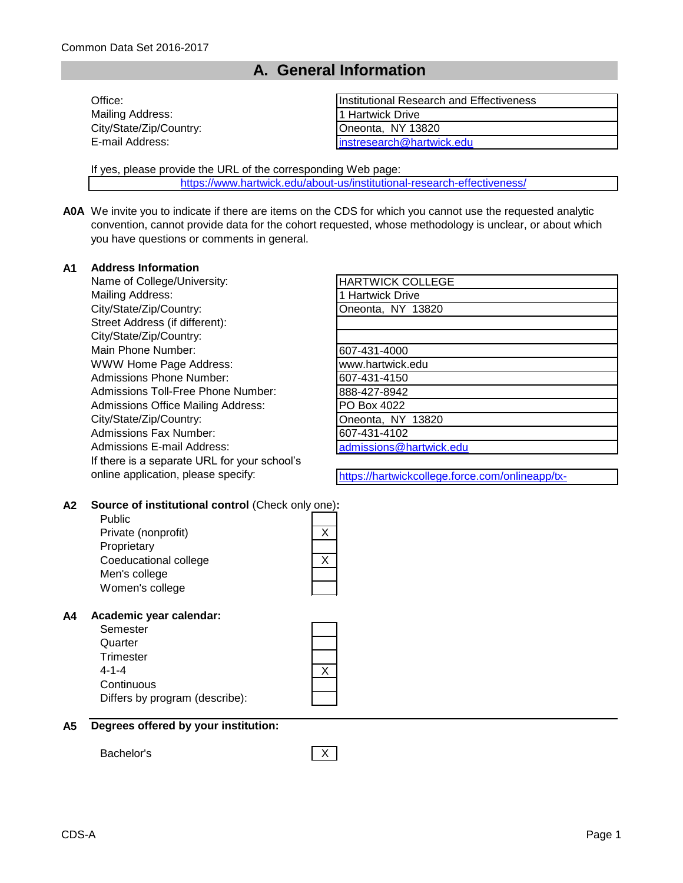## **A. General Information**

| Office:                 | Institutional Research and Effectiveness |
|-------------------------|------------------------------------------|
| Mailing Address:        | 11 Hartwick Drive                        |
| City/State/Zip/Country: | Oneonta, NY 13820                        |
| E-mail Address:         | linstresearch@hartwick.edu               |

If yes, please provide the URL of the corresponding Web page:

[https://www.hartwick.edu/ab](https://www.hartwick.edu/about-us/institutional-research-effectiveness/)out-us/institutional-research-effectiveness/

**A0A** We invite you to indicate if there are items on the CDS for which you cannot use the requested analytic convention, cannot provide data for the cohort requested, whose methodology is unclear, or about which you have questions or comments in general.

#### **A1 Address Information**

Name of College/University: Mailing Address: City/State/Zip/Country: Street Address (if different): City/State/Zip/Country: Main Phone Number: WWW Home Page Address: Admissions Phone Number: Admissions Toll-Free Phone Number: Admissions Office Mailing Address: City/State/Zip/Country: Admissions Fax Number: Admissions E-mail Address: If there is a separate URL for your school's online application, please specify:

| <b>HARTWICK COLLEGE</b> |
|-------------------------|
| 1 Hartwick Drive        |
| Oneonta, NY 13820       |
|                         |
|                         |
| 607-431-4000            |
| www.hartwick.edu        |
| 607-431-4150            |
| 888-427-8942            |
| PO Box 4022             |
| Oneonta, NY 13820       |
| 607-431-4102            |
| admissions@hartwick.edu |

https://hartwickcollege.force.com/onlineapp/tx-

communitieshome

#### **A2 Source of institutional control** (Check only one)**:**

Public Private (nonprofit) **Proprietary** Coeducational college Men's college Women's college

## **A4 Academic year calendar:**

| Semester                       |  |
|--------------------------------|--|
| Quarter                        |  |
| Trimester                      |  |
| 4-1-4                          |  |
| Continuous                     |  |
| Differs by program (describe): |  |



Bachelor's X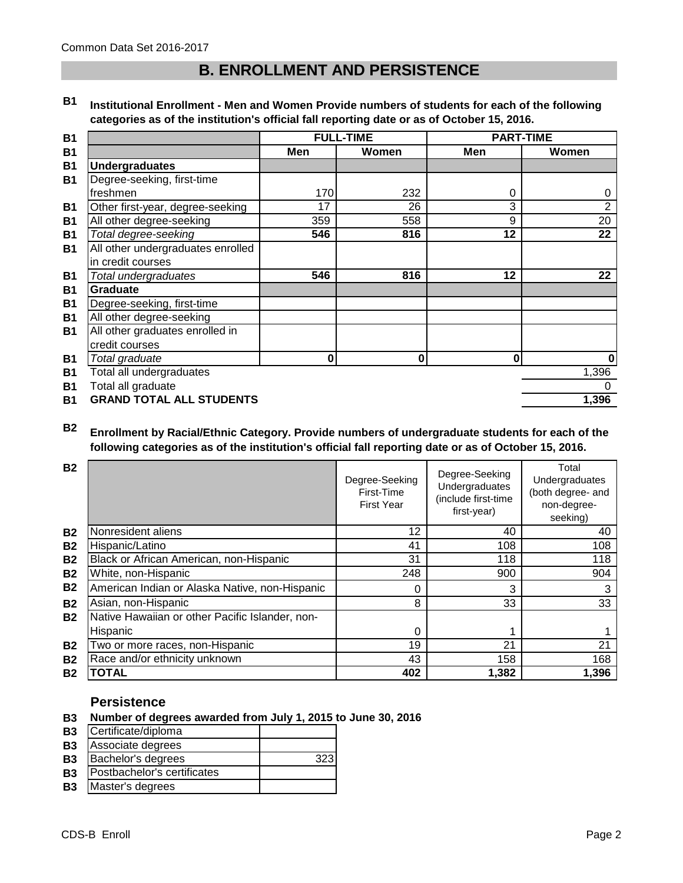## **B. ENROLLMENT AND PERSISTENCE**

**B1 Institutional Enrollment - Men and Women Provide numbers of students for each of the following categories as of the institution's official fall reporting date or as of October 15, 2016.**

| <b>B1</b>      |                                   |             | <b>FULL-TIME</b> |     | <b>PART-TIME</b> |
|----------------|-----------------------------------|-------------|------------------|-----|------------------|
| <b>B1</b>      |                                   | Men         | Women            | Men | Women            |
| B <sub>1</sub> | <b>Undergraduates</b>             |             |                  |     |                  |
| <b>B1</b>      | Degree-seeking, first-time        |             |                  |     |                  |
|                | freshmen                          | 170         | 232              | 0   | 0                |
| <b>B1</b>      | Other first-year, degree-seeking  | 17          | 26               | 3   | $\overline{2}$   |
| <b>B1</b>      | All other degree-seeking          | 359         | 558              | 9   | 20               |
| <b>B1</b>      | Total degree-seeking              | 546         | 816              | 12  | 22               |
| <b>B1</b>      | All other undergraduates enrolled |             |                  |     |                  |
|                | in credit courses                 |             |                  |     |                  |
| <b>B1</b>      | Total undergraduates              | 546         | 816              | 12  | 22               |
| <b>B1</b>      | <b>Graduate</b>                   |             |                  |     |                  |
| <b>B1</b>      | Degree-seeking, first-time        |             |                  |     |                  |
| B <sub>1</sub> | All other degree-seeking          |             |                  |     |                  |
| <b>B1</b>      | All other graduates enrolled in   |             |                  |     |                  |
|                | credit courses                    |             |                  |     |                  |
| <b>B1</b>      | Total graduate                    | $\mathbf 0$ | 0                | 0   | $\bf{0}$         |
| <b>B1</b>      | Total all undergraduates          |             |                  |     | 1,396            |
| <b>B1</b>      | Total all graduate                |             |                  |     | 0                |
| <b>B1</b>      | <b>GRAND TOTAL ALL STUDENTS</b>   |             |                  |     | 1,396            |

#### **B2 Enrollment by Racial/Ethnic Category. Provide numbers of undergraduate students for each of the following categories as of the institution's official fall reporting date or as of October 15, 2016.**

| <b>B2</b> |                                                 | Degree-Seeking<br>First-Time<br><b>First Year</b> | Degree-Seeking<br>Undergraduates<br>(include first-time<br>first-year) | Total<br>Undergraduates<br>(both degree- and<br>non-degree-<br>seeking) |
|-----------|-------------------------------------------------|---------------------------------------------------|------------------------------------------------------------------------|-------------------------------------------------------------------------|
| <b>B2</b> | Nonresident aliens                              | 12                                                | 40                                                                     | 40                                                                      |
| <b>B2</b> | Hispanic/Latino                                 | 41                                                | 108                                                                    | 108                                                                     |
| <b>B2</b> | Black or African American, non-Hispanic         | 31                                                | 118                                                                    | 118                                                                     |
| <b>B2</b> | White, non-Hispanic                             | 248                                               | 900                                                                    | 904                                                                     |
| <b>B2</b> | American Indian or Alaska Native, non-Hispanic  | 0                                                 | 3                                                                      | 3                                                                       |
| <b>B2</b> | Asian, non-Hispanic                             | 8                                                 | 33                                                                     | 33                                                                      |
| <b>B2</b> | Native Hawaiian or other Pacific Islander, non- |                                                   |                                                                        |                                                                         |
|           | Hispanic                                        | 0                                                 |                                                                        |                                                                         |
| <b>B2</b> | Two or more races, non-Hispanic                 | 19                                                | 21                                                                     | 21                                                                      |
| <b>B2</b> | Race and/or ethnicity unknown                   | 43                                                | 158                                                                    | 168                                                                     |
| <b>B2</b> | <b>TOTAL</b>                                    | 402                                               | 1,382                                                                  | 1,396                                                                   |

## **Persistence**

- **B3 Number of degrees awarded from July 1, 2015 to June 30, 2016**
- **B3** Certificate/diploma
- **B3** Associate degrees
- **B3** Bachelor's degrees 2323
- **B3** Postbachelor's certificates
- **B3** Master's degrees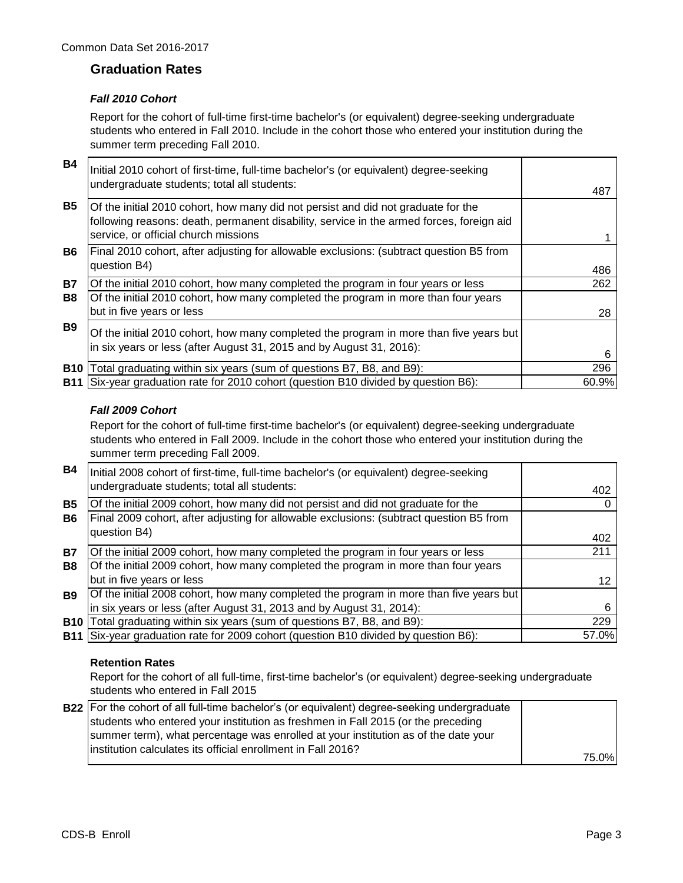## **Graduation Rates**

### *Fall 2010 Cohort*

Report for the cohort of full-time first-time bachelor's (or equivalent) degree-seeking undergraduate students who entered in Fall 2010. Include in the cohort those who entered your institution during the summer term preceding Fall 2010.

| <b>B4</b>  | Initial 2010 cohort of first-time, full-time bachelor's (or equivalent) degree-seeking<br>undergraduate students; total all students:                                                                                 | 487   |
|------------|-----------------------------------------------------------------------------------------------------------------------------------------------------------------------------------------------------------------------|-------|
| <b>B5</b>  | Of the initial 2010 cohort, how many did not persist and did not graduate for the<br>following reasons: death, permanent disability, service in the armed forces, foreign aid<br>service, or official church missions |       |
| <b>B6</b>  | Final 2010 cohort, after adjusting for allowable exclusions: (subtract question B5 from<br>question B4)                                                                                                               | 486   |
| <b>B7</b>  | Of the initial 2010 cohort, how many completed the program in four years or less                                                                                                                                      | 262   |
| <b>B8</b>  | Of the initial 2010 cohort, how many completed the program in more than four years<br>but in five years or less                                                                                                       | 28    |
| <b>B</b> 9 | Of the initial 2010 cohort, how many completed the program in more than five years but<br>in six years or less (after August 31, 2015 and by August 31, 2016):                                                        | 6     |
| <b>B10</b> | Total graduating within six years (sum of questions B7, B8, and B9):                                                                                                                                                  | 296   |
| <b>B11</b> | Six-year graduation rate for 2010 cohort (question B10 divided by question B6):                                                                                                                                       | 60.9% |

### *Fall 2009 Cohort*

Report for the cohort of full-time first-time bachelor's (or equivalent) degree-seeking undergraduate students who entered in Fall 2009. Include in the cohort those who entered your institution during the summer term preceding Fall 2009.

| <b>B4</b>  | Initial 2008 cohort of first-time, full-time bachelor's (or equivalent) degree-seeking  |       |
|------------|-----------------------------------------------------------------------------------------|-------|
|            | undergraduate students; total all students:                                             | 402   |
| <b>B5</b>  | Of the initial 2009 cohort, how many did not persist and did not graduate for the       |       |
| <b>B6</b>  | Final 2009 cohort, after adjusting for allowable exclusions: (subtract question B5 from |       |
|            | question B4)                                                                            | 402   |
| <b>B7</b>  | Of the initial 2009 cohort, how many completed the program in four years or less        | 211   |
| B8         | Of the initial 2009 cohort, how many completed the program in more than four years      |       |
|            | but in five years or less                                                               | 12    |
| <b>B9</b>  | Of the initial 2008 cohort, how many completed the program in more than five years but  |       |
|            | in six years or less (after August 31, 2013 and by August 31, 2014):                    |       |
| <b>B10</b> | Total graduating within six years (sum of questions B7, B8, and B9):                    | 229   |
|            | B11   Six-year graduation rate for 2009 cohort (question B10 divided by question B6):   | 57.0% |

### **Retention Rates**

Report for the cohort of all full-time, first-time bachelor's (or equivalent) degree-seeking undergraduate students who entered in Fall 2015

| <b>B22</b> For the cohort of all full-time bachelor's (or equivalent) degree-seeking undergraduate |        |
|----------------------------------------------------------------------------------------------------|--------|
| students who entered your institution as freshmen in Fall 2015 (or the preceding                   |        |
| summer term), what percentage was enrolled at your institution as of the date your                 |        |
| linstitution calculates its official enrollment in Fall 2016?                                      |        |
|                                                                                                    | 75.0%I |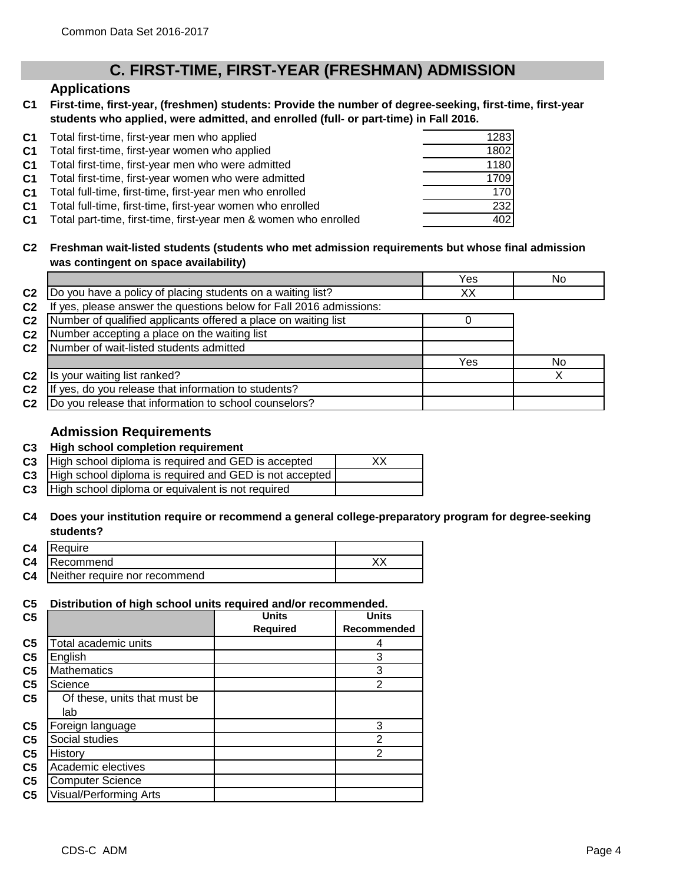## **C. FIRST-TIME, FIRST-YEAR (FRESHMAN) ADMISSION**

## **Applications**

**C1 First-time, first-year, (freshmen) students: Provide the number of degree-seeking, first-time, first-year students who applied, were admitted, and enrolled (full- or part-time) in Fall 2016.**

|                | C1 Total first-time, first-year men who applied                  | 1283 |
|----------------|------------------------------------------------------------------|------|
| C <sub>1</sub> | Total first-time, first-year women who applied                   | 1802 |
| C <sub>1</sub> | Total first-time, first-year men who were admitted               | 1180 |
| C1             | Total first-time, first-year women who were admitted             | 1709 |
| C1             | Total full-time, first-time, first-year men who enrolled         | 170  |
| C <sub>1</sub> | Total full-time, first-time, first-year women who enrolled       | 232  |
| C1             | Total part-time, first-time, first-year men & women who enrolled | 402  |

#### **C2 Freshman wait-listed students (students who met admission requirements but whose final admission was contingent on space availability)**

|                |                                                                  | Yes | No             |
|----------------|------------------------------------------------------------------|-----|----------------|
| C <sub>2</sub> | Do you have a policy of placing students on a waiting list?      | XХ  |                |
| C <sub>2</sub> | yes, please answer the questions below for Fall 2016 admissions: |     |                |
| C <sub>2</sub> | Number of qualified applicants offered a place on waiting list   |     |                |
| C <sub>2</sub> | Number accepting a place on the waiting list                     |     |                |
| C <sub>2</sub> | Number of wait-listed students admitted                          |     |                |
|                |                                                                  | Yes | N <sub>0</sub> |
| C <sub>2</sub> | Is your waiting list ranked?                                     |     |                |
| C <sub>2</sub> | yes, do you release that information to students?                |     |                |
| C <sub>2</sub> | Do you release that information to school counselors?            |     |                |

## **Admission Requirements**

#### **C3 High school completion requirement**

| C3   High school diploma is required and GED is accepted          | XХ |
|-------------------------------------------------------------------|----|
| <b>C3</b> High school diploma is required and GED is not accepted |    |
| C3   High school diploma or equivalent is not required            |    |

#### **C4 Does your institution require or recommend a general college-preparatory program for degree-seeking students?**

| C <sub>4</sub> | Require                       |  |
|----------------|-------------------------------|--|
| C <sub>4</sub> | Recommend                     |  |
| C <sub>4</sub> | Neither require nor recommend |  |

#### **C5 Distribution of high school units required and/or recommended.**

| C <sub>5</sub> |                               | <b>Units</b>    | <b>Units</b>       |
|----------------|-------------------------------|-----------------|--------------------|
|                |                               | <b>Required</b> | <b>Recommended</b> |
| C <sub>5</sub> | Total academic units          |                 | 4                  |
| C <sub>5</sub> | English                       |                 | 3                  |
| C <sub>5</sub> | <b>Mathematics</b>            |                 | 3                  |
| C <sub>5</sub> | Science                       |                 | 2                  |
| C <sub>5</sub> | Of these, units that must be  |                 |                    |
|                | lab                           |                 |                    |
| C <sub>5</sub> | Foreign language              |                 | 3                  |
| C <sub>5</sub> | Social studies                |                 | $\overline{2}$     |
| C <sub>5</sub> | History                       |                 | $\overline{2}$     |
| C <sub>5</sub> | Academic electives            |                 |                    |
| C <sub>5</sub> | <b>Computer Science</b>       |                 |                    |
| C <sub>5</sub> | <b>Visual/Performing Arts</b> |                 |                    |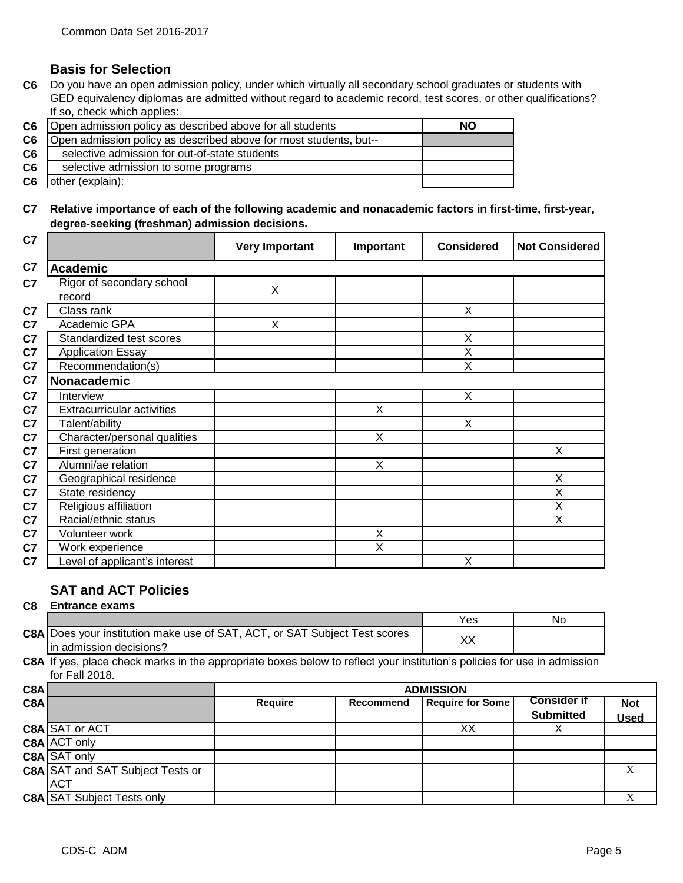## **Basis for Selection**

**C6** Do you have an open admission policy, under which virtually all secondary school graduates or students with GED equivalency diplomas are admitted without regard to academic record, test scores, or other qualifications? If so, check which applies:

| C <sub>6</sub> | Open admission policy as described above for all students         | NΟ |
|----------------|-------------------------------------------------------------------|----|
| C <sub>6</sub> | Open admission policy as described above for most students, but-- |    |
| C6             | selective admission for out-of-state students                     |    |
| C <sub>6</sub> | selective admission to some programs                              |    |
| C <sub>6</sub> | other (explain):                                                  |    |

**C7 Relative importance of each of the following academic and nonacademic factors in first-time, first-year, degree-seeking (freshman) admission decisions.**

| C7             |                                     | <b>Very Important</b> | Important | <b>Considered</b> | <b>Not Considered</b> |
|----------------|-------------------------------------|-----------------------|-----------|-------------------|-----------------------|
| C7             | <b>Academic</b>                     |                       |           |                   |                       |
| C7             | Rigor of secondary school<br>record | X                     |           |                   |                       |
| C7             | Class rank                          |                       |           | X                 |                       |
| C7             | Academic GPA                        | X                     |           |                   |                       |
| C7             | Standardized test scores            |                       |           | X                 |                       |
| C7             | <b>Application Essay</b>            |                       |           | X                 |                       |
| C7             | Recommendation(s)                   |                       |           | X                 |                       |
| C <sub>7</sub> | <b>Nonacademic</b>                  |                       |           |                   |                       |
| C7             | Interview                           |                       |           | X                 |                       |
| C7             | <b>Extracurricular activities</b>   |                       | X         |                   |                       |
| C7             | Talent/ability                      |                       |           | X                 |                       |
| C7             | Character/personal qualities        |                       | X         |                   |                       |
| C7             | First generation                    |                       |           |                   | Χ                     |
| C7             | Alumni/ae relation                  |                       | X         |                   |                       |
| C7             | Geographical residence              |                       |           |                   | Χ                     |
| C7             | State residency                     |                       |           |                   | $\overline{X}$        |
| C7             | Religious affiliation               |                       |           |                   | $\mathsf X$           |
| C7             | Racial/ethnic status                |                       |           |                   | X                     |
| C7             | Volunteer work                      |                       | X         |                   |                       |
| C7             | Work experience                     |                       | X         |                   |                       |
| C <sub>7</sub> | Level of applicant's interest       |                       |           | X                 |                       |

## **SAT and ACT Policies**

#### **C8 Entrance exams**

|      |                                                                                                               | Yes | No |
|------|---------------------------------------------------------------------------------------------------------------|-----|----|
|      | <b>C8A</b> Does your institution make use of SAT, ACT, or SAT Subject Test scores<br>lin admission decisions? |     |    |
| ---- |                                                                                                               |     |    |

**C8A** If yes, place check marks in the appropriate boxes below to reflect your institution's policies for use in admission for Fall 2018.

| C8A<br><b>ADMISSION</b> |                                         |                |                  |                         |                    |            |
|-------------------------|-----------------------------------------|----------------|------------------|-------------------------|--------------------|------------|
| C8A                     |                                         | <b>Require</b> | <b>Recommend</b> | <b>Require for Some</b> | <b>Consider if</b> | <b>Not</b> |
|                         |                                         |                |                  |                         | <b>Submitted</b>   | Used       |
|                         | <b>C8A SAT or ACT</b>                   |                |                  | XХ                      |                    |            |
|                         | C8A ACT only                            |                |                  |                         |                    |            |
|                         | <b>C8A SAT only</b>                     |                |                  |                         |                    |            |
|                         | <b>C8A SAT and SAT Subject Tests or</b> |                |                  |                         |                    |            |
|                         | <b>ACT</b>                              |                |                  |                         |                    |            |
|                         | <b>C8A SAT Subject Tests only</b>       |                |                  |                         |                    |            |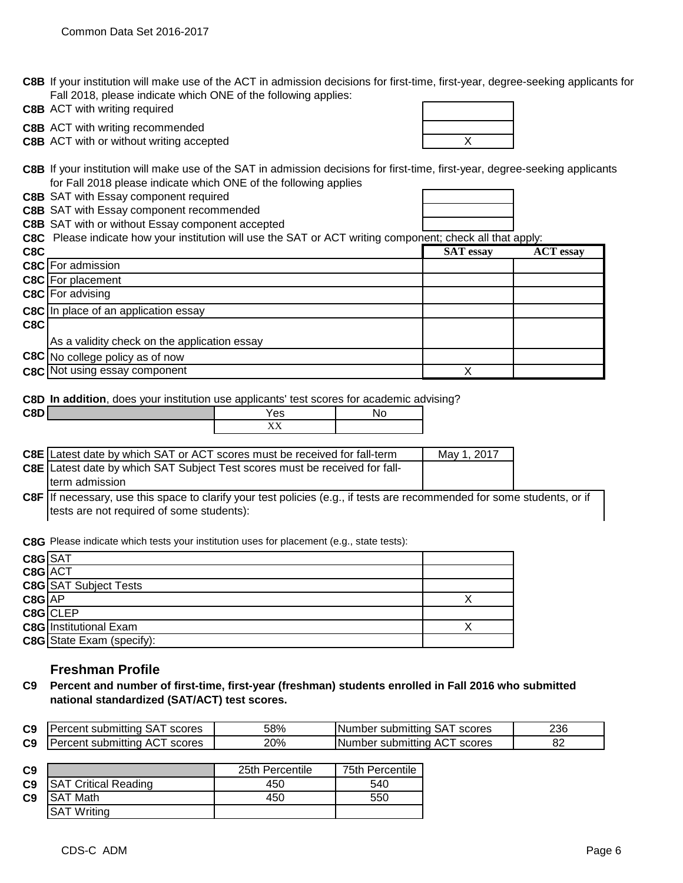**C8B** If your institution will make use of the ACT in admission decisions for first-time, first-year, degree-seeking applicants for Fall 2018, please indicate which ONE of the following applies:

**C8B** ACT with writing required

**C8B** ACT with writing recommended

**C8B** ACT with or without writing accepted **ACT ACT X** ACT **WITH** 

**C8B** If your institution will make use of the SAT in admission decisions for first-time, first-year, degree-seeking applicants for Fall 2018 please indicate which ONE of the following applies

**C8B** SAT with Essay component required

**C8B** SAT with Essay component recommended

**C8B** SAT with or without Essay component accepted

**C8C** Please indicate how your institution will use the SAT or ACT writing component; check all that apply:

| C8C |                                              | <b>SAT</b> essay | <b>ACT</b> essay |
|-----|----------------------------------------------|------------------|------------------|
|     | C8C For admission                            |                  |                  |
|     | <b>C8C</b> For placement                     |                  |                  |
|     | C8C For advising                             |                  |                  |
|     | <b>C8C</b> In place of an application essay  |                  |                  |
| C8C |                                              |                  |                  |
|     | As a validity check on the application essay |                  |                  |
|     | C8C No college policy as of now              |                  |                  |
|     | <b>C8C</b> Not using essay component         |                  |                  |

**C8D In addition**, does your institution use applicants' test scores for academic advising?

| C8D | es                                        | NC |
|-----|-------------------------------------------|----|
|     | <b>TTT</b><br>$\overline{111}$<br>$- - -$ |    |

| <b>C8E</b> Latest date by which SAT or ACT scores must be received for fall-term   | May 1, 2017 |
|------------------------------------------------------------------------------------|-------------|
| <b>C8E</b> Latest date by which SAT Subject Test scores must be received for fall- |             |
| Iterm admission                                                                    |             |

**C8F** If necessary, use this space to clarify your test policies (e.g., if tests are recommended for some students, or if tests are not required of some students):

**C8G** Please indicate which tests your institution uses for placement (e.g., state tests):

| C8G SAT    |                               |  |
|------------|-------------------------------|--|
| C8G ACT    |                               |  |
|            | <b>C8G</b> SAT Subject Tests  |  |
| $C8G$ $AP$ |                               |  |
|            | $C8G$ CLEP                    |  |
|            | <b>C8G</b> Institutional Exam |  |
|            | C8G State Exam (specify):     |  |

## **Freshman Profile**

**C9 Percent and number of first-time, first-year (freshman) students enrolled in Fall 2016 who submitted national standardized (SAT/ACT) test scores.** 

| C <sub>9</sub> | scores<br>submitting<br>۰on<br>. TP | 58% | scores<br>INum<br>submitting<br>.nber<br>OA I | 236                              |
|----------------|-------------------------------------|-----|-----------------------------------------------|----------------------------------|
| C <sub>9</sub> | scores<br>submitting<br>nn -<br>AG. | 20% | scores<br><b>INumber</b><br>∵submittino<br>-  | $\mathbf{O}^{\mathcal{L}}$<br>٥z |

| C <sub>9</sub> |                             | 25th Percentile | 75th Percentile |
|----------------|-----------------------------|-----------------|-----------------|
| C <sub>9</sub> | <b>SAT Critical Reading</b> | 450             | 540             |
| C <sub>9</sub> | ISAT Math                   | 450             | 550             |
|                | <b>SAT Writing</b>          |                 |                 |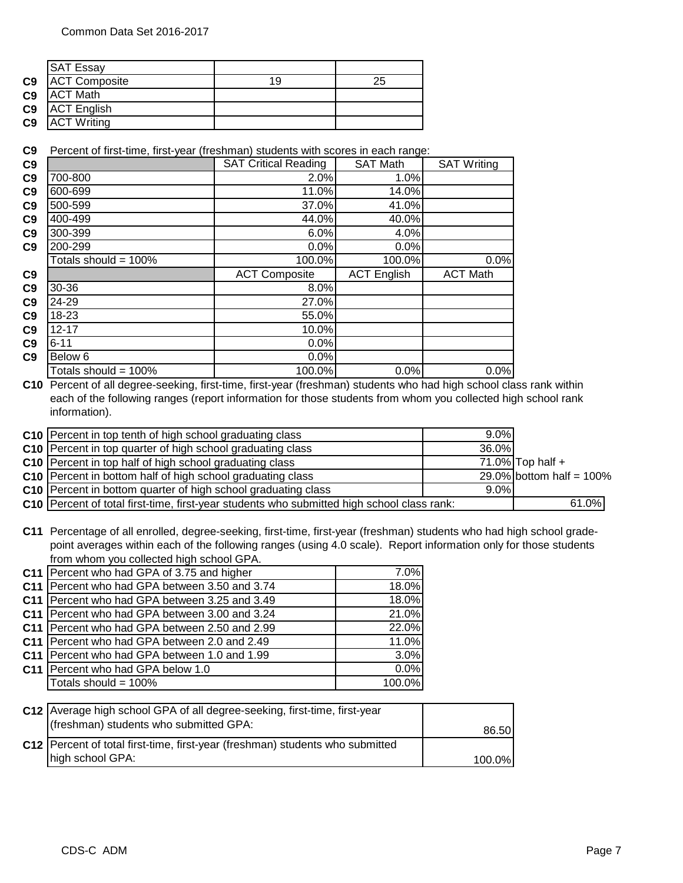|                | <b>SAT Essay</b>     |    |    |
|----------------|----------------------|----|----|
| C <sub>9</sub> | <b>ACT Composite</b> | 19 | 25 |
| C <sub>9</sub> | <b>ACT Math</b>      |    |    |
| C <sub>9</sub> | <b>ACT English</b>   |    |    |
| C <sub>9</sub> | <b>ACT Writing</b>   |    |    |

**C9** Percent of first-time, first-year (freshman) students with scores in each range:

| C9             |                         | <b>SAT Critical Reading</b> | <b>SAT Math</b>    | <b>SAT Writing</b> |
|----------------|-------------------------|-----------------------------|--------------------|--------------------|
| C9             | 700-800                 | 2.0%                        | 1.0%               |                    |
| C9             | 600-699                 | 11.0%                       | 14.0%              |                    |
| C9             | 500-599                 | 37.0%                       | 41.0%              |                    |
| C <sub>9</sub> | 400-499                 | 44.0%                       | 40.0%              |                    |
| C9             | 300-399                 | 6.0%                        | 4.0%               |                    |
| C9             | 200-299                 | 0.0%                        | 0.0%               |                    |
|                | Totals should = $100\%$ | 100.0%                      | 100.0%             | 0.0%               |
| C9             |                         | <b>ACT Composite</b>        | <b>ACT English</b> | <b>ACT Math</b>    |
| C9             | 30-36                   | 8.0%                        |                    |                    |
| C9             | 24-29                   | 27.0%                       |                    |                    |
| C9             | 18-23                   | 55.0%                       |                    |                    |
| C9             | $12 - 17$               | 10.0%                       |                    |                    |
| C <sub>9</sub> | $6 - 11$                | 0.0%                        |                    |                    |
| C9             | Below 6                 | 0.0%                        |                    |                    |
|                | Totals should = $100\%$ | 100.0%                      | 0.0%               | 0.0%               |

**C10** Percent of all degree-seeking, first-time, first-year (freshman) students who had high school class rank within each of the following ranges (report information for those students from whom you collected high school rank information).

| C10 Percent in top tenth of high school graduating class                                   | 9.0%  |                             |
|--------------------------------------------------------------------------------------------|-------|-----------------------------|
| C10 Percent in top quarter of high school graduating class                                 | 36.0% |                             |
| C10 Percent in top half of high school graduating class                                    |       | 71.0% Top half $+$          |
| C10 Percent in bottom half of high school graduating class                                 |       | 29.0% bottom half = $100\%$ |
| C10 Percent in bottom quarter of high school graduating class                              | 9.0%  |                             |
| C10 Percent of total first-time, first-year students who submitted high school class rank: |       | 61.0%                       |

**C11** Percentage of all enrolled, degree-seeking, first-time, first-year (freshman) students who had high school gradepoint averages within each of the following ranges (using 4.0 scale). Report information only for those students from whom you collected high school GPA.

| C11   Percent who had GPA of 3.75 and higher    | 7.0%   |
|-------------------------------------------------|--------|
| C11   Percent who had GPA between 3.50 and 3.74 | 18.0%  |
| C11 Percent who had GPA between 3.25 and 3.49   | 18.0%  |
| C11   Percent who had GPA between 3.00 and 3.24 | 21.0%  |
| C11 Percent who had GPA between 2.50 and 2.99   | 22.0%  |
| C11 Percent who had GPA between 2.0 and 2.49    | 11.0%  |
| C11   Percent who had GPA between 1.0 and 1.99  | 3.0%   |
| C11   Percent who had GPA below 1.0             | 0.0%   |
| Totals should = 100%                            | 100.0% |
|                                                 |        |

| C12 Average high school GPA of all degree-seeking, first-time, first-year<br>(freshman) students who submitted GPA: | 86.50  |
|---------------------------------------------------------------------------------------------------------------------|--------|
| C12   Percent of total first-time, first-year (freshman) students who submitted<br>high school GPA:                 | 100.0% |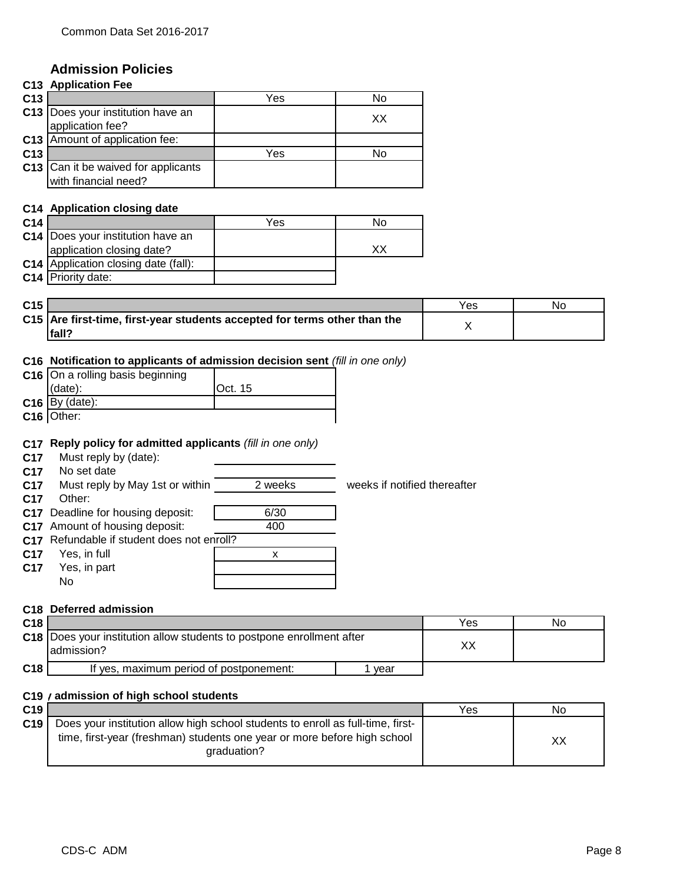## **Admission Policies**

|     | <b>C13 Application Fee</b>                                  |     |    |
|-----|-------------------------------------------------------------|-----|----|
| C13 |                                                             | Yes | No |
|     | C13   Does your institution have an<br>application fee?     |     | XХ |
|     | C13 Amount of application fee:                              |     |    |
| C13 |                                                             | Yes | No |
|     | C13 Can it be waived for applicants<br>with financial need? |     |    |

#### **C14 Application closing date**

| C <sub>14</sub> |                                             | Yes | No |
|-----------------|---------------------------------------------|-----|----|
|                 | <b>C14</b> Does your institution have an    |     |    |
|                 | application closing date?                   |     |    |
|                 | <b>C14</b> Application closing date (fall): |     |    |
|                 | C14 Priority date:                          |     |    |

| C15 |                                                                           | Yes | No |
|-----|---------------------------------------------------------------------------|-----|----|
|     | C15 Are first-time, first-year students accepted for terms other than the |     |    |
|     | $ fall^c$                                                                 |     |    |

### **C16 Notification to applicants of admission decision sent** *(fill in one only)*

| C16 On a rolling basis beginning |                 |
|----------------------------------|-----------------|
| (date):                          | <b>IOct. 15</b> |
| $C16$ By (date):                 |                 |
| $C16$ Other:                     |                 |

#### **C17 Reply policy for admitted applicants** *(fill in one only)*

**C17** Must reply by (date):

**C17** No set date

**C17** Must reply by May 1st or within 2 weeks weeks if notified thereafter

**C17** Other:

**C17** Deadline for housing deposit: **1** 6/30

**C17** Amount of housing deposit: 400



## **C18 Deferred admission**

| C <sub>18</sub> |                                                                         |      | Yes | No. |
|-----------------|-------------------------------------------------------------------------|------|-----|-----|
|                 | C18   Does your institution allow students to postpone enrollment after |      |     |     |
|                 | ladmission?                                                             |      |     |     |
| C <sub>18</sub> | If yes, maximum period of postponement:                                 | vear |     |     |

#### **C19** / admission of high school students

| C <sub>19</sub> |                                                                                                                                                             | Yes | No |
|-----------------|-------------------------------------------------------------------------------------------------------------------------------------------------------------|-----|----|
| C19             | Does your institution allow high school students to enroll as full-time, first-<br>time, first-year (freshman) students one year or more before high school |     | XХ |
|                 | araduation?                                                                                                                                                 |     |    |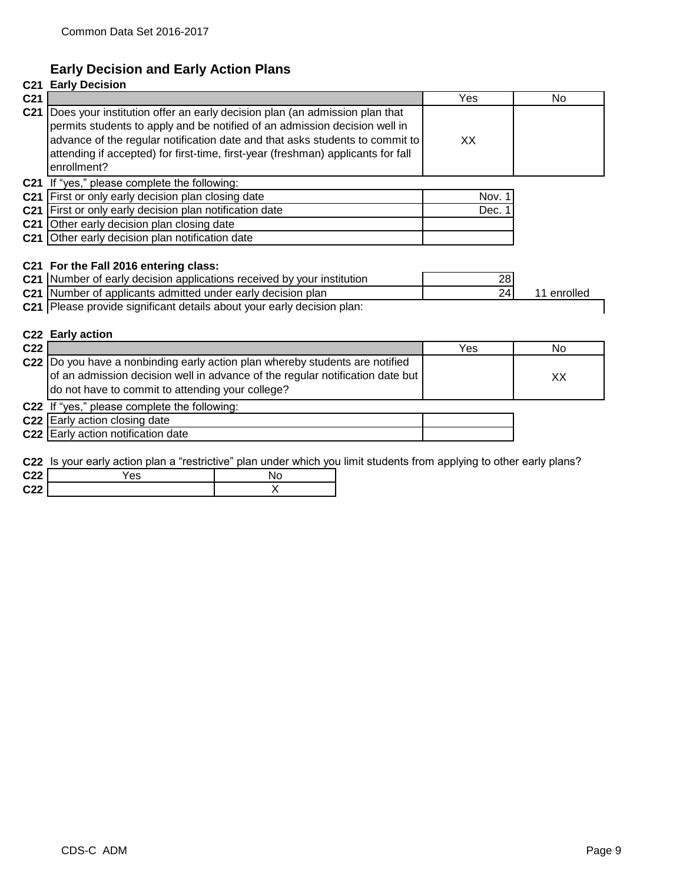## **Early Decision and Early Action Plans**

## **C21 Early Decision C21 |** Yes No **C21** Does your institution offer an early decision plan (an admission plan that XX **C21** If "yes," please complete the following: **C21** First or only early decision plan closing date **C21 Nov.** 1 **C21** First or only early decision plan notification date **C21 Dec. 1 Dec. 1 C21** Other early decision plan closing date **C21** Other early decision plan notification date **C21 For the Fall 2016 entering class: C21** Number of early decision applications received by your institution  $28$ **C21** Number of applicants admitted under early decision plan **C21** 24 11 enrolled **C21** Please provide significant details about your early decision plan: **C22 Early action C22** Yes No **C22** Do you have a nonbinding early action plan whereby students are notified XX **C22** If "yes," please complete the following: **C22** Early action closing date **C22** Early action notification date permits students to apply and be notified of an admission decision well in advance of the regular notification date and that asks students to commit to attending if accepted) for first-time, first-year (freshman) applicants for fall enrollment? of an admission decision well in advance of the regular notification date but do not have to commit to attending your college?

**C22** Is your early action plan a "restrictive" plan under which you limit students from applying to other early plans?

| <b>COO</b><br>, <u>, , ,</u> | Έs | NG |
|------------------------------|----|----|
| <b>C22</b><br>◡▵▵            |    |    |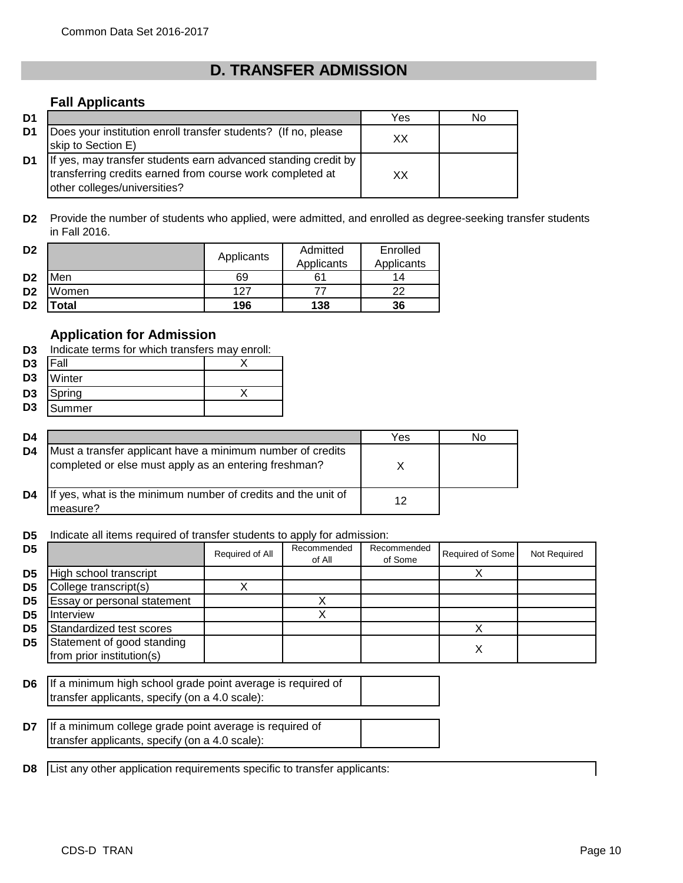# **D. TRANSFER ADMISSION**

## **Fall Applicants**

| D <sub>1</sub> |                                                                                                                                                             | Yes | N٥ |
|----------------|-------------------------------------------------------------------------------------------------------------------------------------------------------------|-----|----|
| D1             | Does your institution enroll transfer students? (If no, please<br>skip to Section E)                                                                        | xх  |    |
| D <sub>1</sub> | If yes, may transfer students earn advanced standing credit by<br>transferring credits earned from course work completed at<br>other colleges/universities? | xх  |    |

**D2** Provide the number of students who applied, were admitted, and enrolled as degree-seeking transfer students in Fall 2016.

| D <sub>2</sub> |       | Applicants | Admitted   | Enrolled   |
|----------------|-------|------------|------------|------------|
|                |       |            | Applicants | Applicants |
| D <sub>2</sub> | Men   | 69         |            | 14         |
| D <sub>2</sub> | Women | 127        |            | າາ         |
| D <sub>2</sub> | Total | 196        | 138        | 36         |

## **Application for Admission**

| D3.            | Indicate terms for which transfers may enroll: |  |  |  |  |
|----------------|------------------------------------------------|--|--|--|--|
| D <sub>3</sub> | Fall                                           |  |  |  |  |
| D <sub>3</sub> | Winter                                         |  |  |  |  |
| D3             | Spring                                         |  |  |  |  |
| D <sub>3</sub> | Summer                                         |  |  |  |  |

| D4 |                                                                                                                     | Yes | N٥ |
|----|---------------------------------------------------------------------------------------------------------------------|-----|----|
| D4 | Must a transfer applicant have a minimum number of credits<br>completed or else must apply as an entering freshman? |     |    |
| D4 | If yes, what is the minimum number of credits and the unit of<br>measure?                                           | 12  |    |

**D5** Indicate all items required of transfer students to apply for admission:

| D5             |                             | Required of All | Recommended<br>of All | Recommended<br>of Some | Required of Some | Not Required |
|----------------|-----------------------------|-----------------|-----------------------|------------------------|------------------|--------------|
| D5             | High school transcript      |                 |                       |                        |                  |              |
| D5             | College transcript(s)       |                 |                       |                        |                  |              |
| D <sub>5</sub> | Essay or personal statement |                 |                       |                        |                  |              |
| D5             | <b>Interview</b>            |                 |                       |                        |                  |              |
| D5             | Standardized test scores    |                 |                       |                        |                  |              |
| D5             | Statement of good standing  |                 |                       |                        |                  |              |
|                | from prior institution(s)   |                 |                       |                        |                  |              |

**D6** If a minimum high school grade point average is required of transfer applicants, specify (on a 4.0 scale):

**D7** If a minimum college grade point average is required of transfer applicants, specify (on a 4.0 scale):

**D8** List any other application requirements specific to transfer applicants: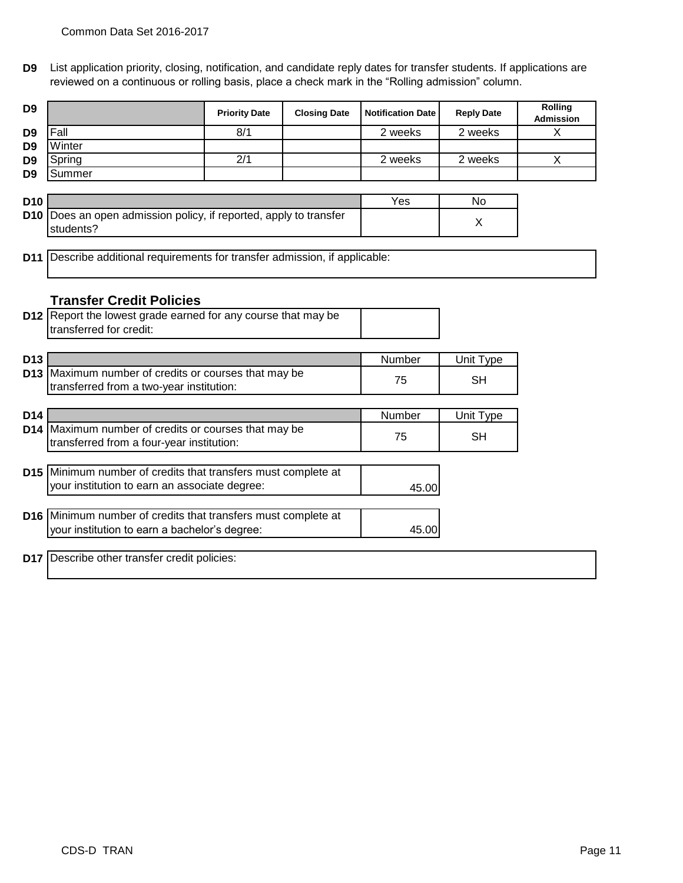**D9** List application priority, closing, notification, and candidate reply dates for transfer students. If applications are reviewed on a continuous or rolling basis, place a check mark in the "Rolling admission" column.

| D <sub>9</sub>  |                                                                                                                | <b>Priority Date</b> | <b>Closing Date</b> | <b>Notification Date</b> | <b>Reply Date</b> | Rolling<br><b>Admission</b> |
|-----------------|----------------------------------------------------------------------------------------------------------------|----------------------|---------------------|--------------------------|-------------------|-----------------------------|
| D <sub>9</sub>  | Fall                                                                                                           | 8/1                  |                     | 2 weeks                  | 2 weeks           | $\mathsf{X}$                |
| D <sub>9</sub>  | Winter                                                                                                         |                      |                     |                          |                   |                             |
| D <sub>9</sub>  | Spring                                                                                                         | 2/1                  |                     | 2 weeks                  | 2 weeks           | X                           |
| D <sub>9</sub>  | Summer                                                                                                         |                      |                     |                          |                   |                             |
|                 |                                                                                                                |                      |                     |                          |                   |                             |
| D <sub>10</sub> |                                                                                                                |                      |                     | Yes                      | No                |                             |
|                 | D10 Does an open admission policy, if reported, apply to transfer<br>students?                                 |                      |                     |                          | X                 |                             |
|                 |                                                                                                                |                      |                     |                          |                   |                             |
|                 | <b>D11</b> Describe additional requirements for transfer admission, if applicable:                             |                      |                     |                          |                   |                             |
|                 |                                                                                                                |                      |                     |                          |                   |                             |
|                 |                                                                                                                |                      |                     |                          |                   |                             |
|                 | <b>Transfer Credit Policies</b>                                                                                |                      |                     |                          |                   |                             |
|                 | D12 Report the lowest grade earned for any course that may be                                                  |                      |                     |                          |                   |                             |
|                 | transferred for credit:                                                                                        |                      |                     |                          |                   |                             |
|                 |                                                                                                                |                      |                     |                          |                   |                             |
| D <sub>13</sub> |                                                                                                                |                      |                     | Number                   | Unit Type         |                             |
|                 | D13 Maximum number of credits or courses that may be                                                           |                      |                     | 75                       | SН                |                             |
|                 | transferred from a two-year institution:                                                                       |                      |                     |                          |                   |                             |
|                 |                                                                                                                |                      |                     |                          |                   |                             |
| D <sub>14</sub> |                                                                                                                |                      |                     | Number                   | Unit Type         |                             |
|                 | D14 Maximum number of credits or courses that may be                                                           |                      |                     | 75                       | SН                |                             |
|                 | transferred from a four-year institution:                                                                      |                      |                     |                          |                   |                             |
|                 |                                                                                                                |                      |                     |                          |                   |                             |
|                 | D15 Minimum number of credits that transfers must complete at<br>your institution to earn an associate degree: |                      |                     |                          |                   |                             |
|                 |                                                                                                                |                      |                     | 45.00                    |                   |                             |
|                 | D16 Minimum number of credits that transfers must complete at                                                  |                      |                     |                          |                   |                             |
|                 | your institution to earn a bachelor's degree:                                                                  |                      |                     | 45.00                    |                   |                             |
|                 |                                                                                                                |                      |                     |                          |                   |                             |
|                 | D17 Describe other transfer credit policies:                                                                   |                      |                     |                          |                   |                             |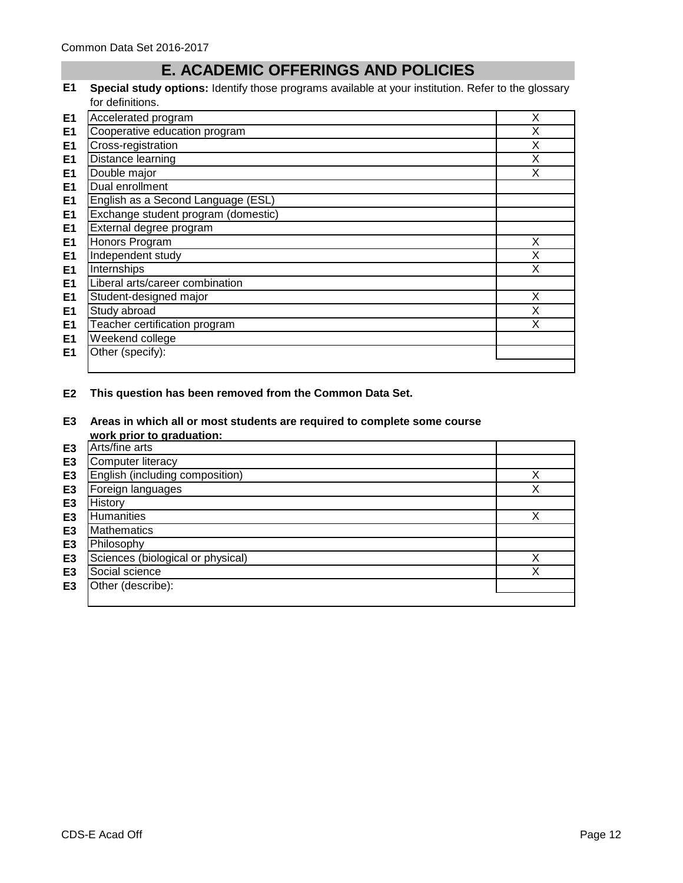# **E. ACADEMIC OFFERINGS AND POLICIES**

**E1 Special study options:** Identify those programs available at your institution. Refer to the glossary for definitions.

| E <sub>1</sub> | Accelerated program                 | X |
|----------------|-------------------------------------|---|
| E1             | Cooperative education program       | X |
| E <sub>1</sub> | Cross-registration                  | X |
| E <sub>1</sub> | Distance learning                   | X |
| E <sub>1</sub> | Double major                        | X |
| E <sub>1</sub> | Dual enrollment                     |   |
| E <sub>1</sub> | English as a Second Language (ESL)  |   |
| E <sub>1</sub> | Exchange student program (domestic) |   |
| E <sub>1</sub> | External degree program             |   |
| E <sub>1</sub> | Honors Program                      | X |
| E <sub>1</sub> | Independent study                   | X |
| E <sub>1</sub> | Internships                         | X |
| E <sub>1</sub> | Liberal arts/career combination     |   |
| E <sub>1</sub> | Student-designed major              | X |
| E <sub>1</sub> | Study abroad                        | X |
| E <sub>1</sub> | Teacher certification program       | X |
| E <sub>1</sub> | Weekend college                     |   |
| E <sub>1</sub> | Other (specify):                    |   |
|                |                                     |   |

## **E2 This question has been removed from the Common Data Set.**

**E3 Areas in which all or most students are required to complete some course work prior to graduation:**

|                | work prior to graduation.         |        |
|----------------|-----------------------------------|--------|
| E <sub>3</sub> | Arts/fine arts                    |        |
| E <sub>3</sub> | Computer literacy                 |        |
| E <sub>3</sub> | English (including composition)   | ✓<br>⋏ |
| E <sub>3</sub> | Foreign languages                 | X      |
| E <sub>3</sub> | History                           |        |
| E <sub>3</sub> | <b>Humanities</b>                 | Χ      |
| E <sub>3</sub> | <b>Mathematics</b>                |        |
| E <sub>3</sub> | Philosophy                        |        |
| E <sub>3</sub> | Sciences (biological or physical) | v      |
| E <sub>3</sub> | Social science                    | X      |
| E <sub>3</sub> | Other (describe):                 |        |
|                |                                   |        |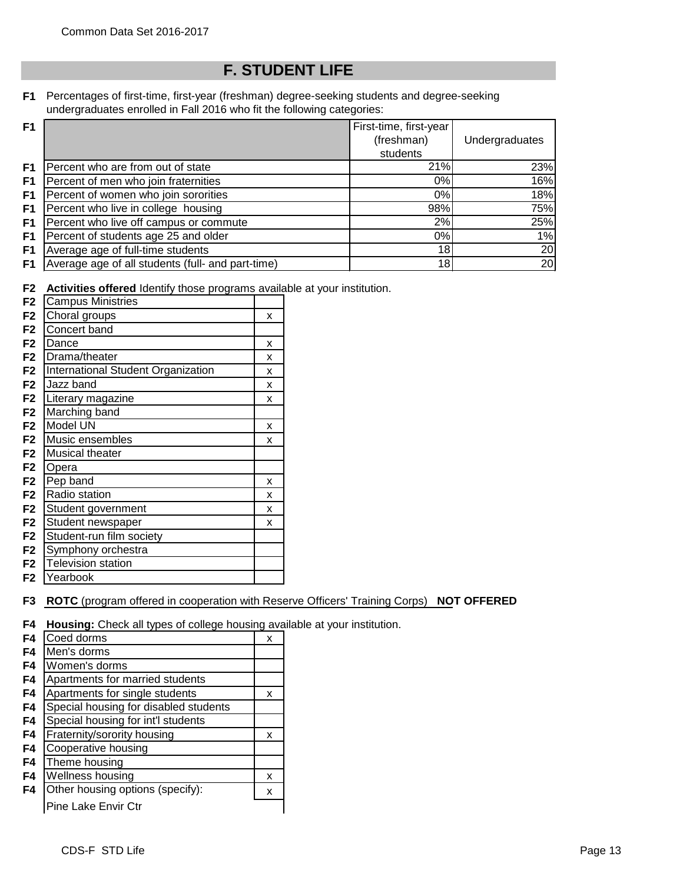# **F. STUDENT LIFE**

**F1** Percentages of first-time, first-year (freshman) degree-seeking students and degree-seeking undergraduates enrolled in Fall 2016 who fit the following categories:

| F <sub>1</sub> |                                                   | First-time, first-year |                |
|----------------|---------------------------------------------------|------------------------|----------------|
|                |                                                   | (freshman)             | Undergraduates |
|                |                                                   | students               |                |
| F1.            | Percent who are from out of state                 | 21%                    | 23%            |
| F <sub>1</sub> | Percent of men who join fraternities              | 0%                     | 16%            |
| F1             | Percent of women who join sororities              | 0%                     | 18%            |
| F1             | Percent who live in college housing               | 98%                    | 75%            |
| F1             | Percent who live off campus or commute            | 2%                     | 25%            |
| F <sub>1</sub> | Percent of students age 25 and older              | 0%                     | 1%             |
| F <sub>1</sub> | Average age of full-time students                 | 18                     | 20             |
| F <sub>1</sub> | Average age of all students (full- and part-time) | 18                     | 20             |

**F2 Activities offered** Identify those programs available at your institution.

| <b>Campus Ministries</b><br>F <sub>2</sub>           |   |
|------------------------------------------------------|---|
| Choral groups<br>F <sub>2</sub>                      | x |
| Concert band<br>F <sub>2</sub>                       |   |
| F <sub>2</sub><br>Dance                              | x |
| F <sub>2</sub><br>Drama/theater                      | x |
| International Student Organization<br>F <sub>2</sub> | x |
| Jazz band<br>F <sub>2</sub>                          | x |
| F2<br>Literary magazine                              | x |
| Marching band<br>F <sub>2</sub>                      |   |
| Model UN<br>F <sub>2</sub>                           | x |
| Music ensembles<br>F <sub>2</sub>                    | x |
| F2<br><b>Musical theater</b>                         |   |
| F <sub>2</sub><br>Opera                              |   |
| Pep band<br>F <sub>2</sub>                           | x |
| F <sub>2</sub><br>Radio station                      | x |
| F <sub>2</sub><br>Student government                 | x |
| Student newspaper<br>F <sub>2</sub>                  | x |
| Student-run film society<br>F <sub>2</sub>           |   |
| Symphony orchestra<br>F2                             |   |
| <b>Television station</b><br>F <sub>2</sub>          |   |
| F2<br>Yearbook                                       |   |

## **F3 ROTC** (program offered in cooperation with Reserve Officers' Training Corps) **NOT OFFERED**

**F4 Housing:** Check all types of college housing available at your institution.

| F4             | Coed dorms                            | x |
|----------------|---------------------------------------|---|
| F4             | Men's dorms                           |   |
| F4             | Women's dorms                         |   |
| F <sub>4</sub> | Apartments for married students       |   |
| F4             | Apartments for single students        | x |
| F <sub>4</sub> | Special housing for disabled students |   |
| F4             | Special housing for int'l students    |   |
| F4             | Fraternity/sorority housing           | x |
| F4             | Cooperative housing                   |   |
| F4             | Theme housing                         |   |
| F4             | Wellness housing                      | x |
| F4             | Other housing options (specify):      | x |
|                | Pine Lake Envir Ctr                   |   |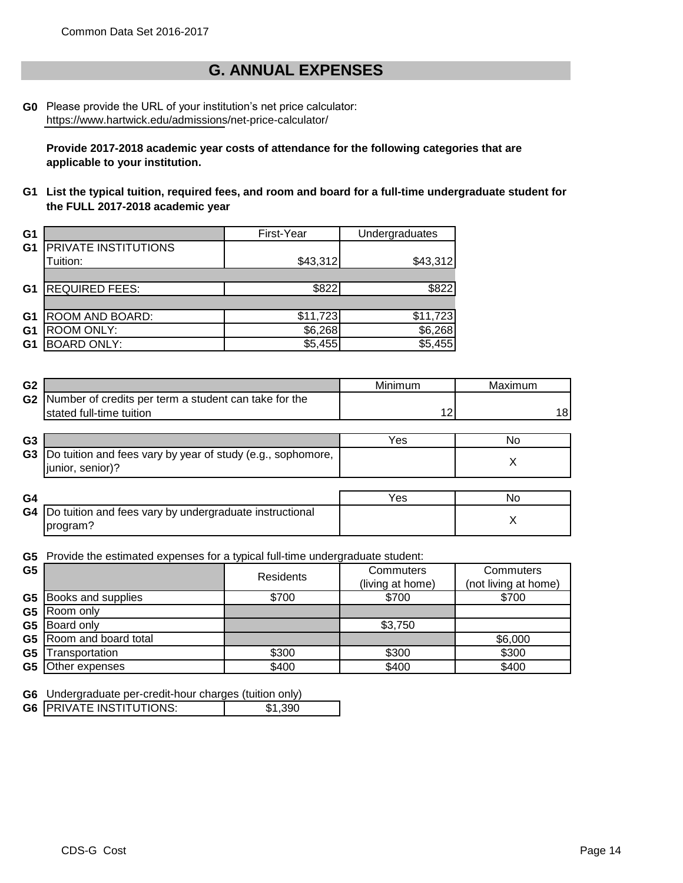## **G. ANNUAL EXPENSES**

**G0** Please provide the URL of your institution's net price calculator: https://www.hartwick.edu/admissions/net-price-calculator/

**Provide 2017-2018 academic year costs of attendance for the following categories that are applicable to your institution.**

**G1 List the typical tuition, required fees, and room and board for a full-time undergraduate student for the FULL 2017-2018 academic year**

| G <sub>1</sub> |                        | First-Year | Undergraduates |
|----------------|------------------------|------------|----------------|
| G <sub>1</sub> | PRIVATE INSTITUTIONS   |            |                |
|                | Tuition:               | \$43,312   | \$43,312       |
|                |                        |            |                |
| G <sub>1</sub> | <b>REQUIRED FEES:</b>  | \$822      | \$822          |
|                |                        |            |                |
| G <sub>1</sub> | <b>ROOM AND BOARD:</b> | \$11,723   | \$11,723       |
| G1             | <b>ROOM ONLY:</b>      | \$6,268    | \$6,268        |
| G1             | <b>BOARD ONLY:</b>     | \$5,455    | \$5,455        |

| G <sub>2</sub> |                                                                                   | Minimum | Maximum |
|----------------|-----------------------------------------------------------------------------------|---------|---------|
| G <sub>2</sub> | Number of credits per term a student can take for the<br>stated full-time tuition | 12      | 18      |
| G <sub>3</sub> |                                                                                   | Yes     | No      |
| G <sub>3</sub> | Do tuition and fees vary by year of study (e.g., sophomore,<br>junior, senior)?   |         | Х       |
|                |                                                                                   |         |         |
| G4             |                                                                                   | Yes     | No      |
| G4             | Do tuition and fees vary by undergraduate instructional<br>program?               |         | Х       |

**G5** Provide the estimated expenses for a typical full-time undergraduate student:

| G <sub>5</sub> |                                | Residents | Commuters        | Commuters            |
|----------------|--------------------------------|-----------|------------------|----------------------|
|                |                                |           | (living at home) | (not living at home) |
|                | <b>G5</b> Books and supplies   | \$700     | \$700            | \$700                |
| G5             | Room only                      |           |                  |                      |
| G5             | Board only                     |           | \$3,750          |                      |
|                | <b>G5</b> Room and board total |           |                  | \$6,000              |
| G <sub>5</sub> | Transportation                 | \$300     | \$300            | \$300                |
| G5             | Other expenses                 | \$400     | \$400            | \$400                |

**G6** Undergraduate per-credit-hour charges (tuition only)

|--|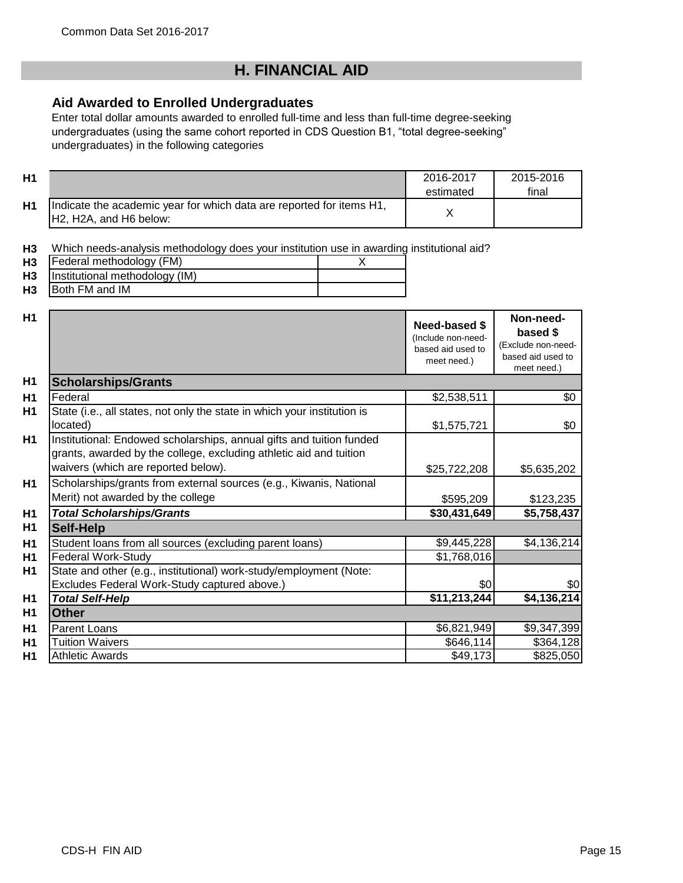# **H. FINANCIAL AID**

## **Aid Awarded to Enrolled Undergraduates**

Enter total dollar amounts awarded to enrolled full-time and less than full-time degree-seeking undergraduates (using the same cohort reported in CDS Question B1, "total degree-seeking" undergraduates) in the following categories

| <b>H1</b>                        |                                                                                                                                                                                   | 2016-2017<br>estimated                                                  | 2015-2016<br>final                                                              |
|----------------------------------|-----------------------------------------------------------------------------------------------------------------------------------------------------------------------------------|-------------------------------------------------------------------------|---------------------------------------------------------------------------------|
| H <sub>1</sub>                   | Indicate the academic year for which data are reported for items H1,<br>H2, H2A, and H6 below:                                                                                    | X                                                                       |                                                                                 |
| H <sub>3</sub><br>H3<br>H3<br>H3 | Which needs-analysis methodology does your institution use in awarding institutional aid?<br>Federal methodology (FM)<br>X<br>Institutional methodology (IM)<br>Both FM and IM    |                                                                         |                                                                                 |
| H <sub>1</sub>                   |                                                                                                                                                                                   | Need-based \$<br>(Include non-need-<br>based aid used to<br>meet need.) | Non-need-<br>based \$<br>(Exclude non-need-<br>based aid used to<br>meet need.) |
| H <sub>1</sub>                   | <b>Scholarships/Grants</b>                                                                                                                                                        |                                                                         |                                                                                 |
| H1                               | Federal                                                                                                                                                                           | \$2,538,511                                                             | \$0                                                                             |
| H <sub>1</sub>                   | State (i.e., all states, not only the state in which your institution is<br>located)                                                                                              | \$1,575,721                                                             | \$0                                                                             |
| H <sub>1</sub>                   | Institutional: Endowed scholarships, annual gifts and tuition funded<br>grants, awarded by the college, excluding athletic aid and tuition<br>waivers (which are reported below). | \$25,722,208                                                            | \$5,635,202                                                                     |
| H1                               | Scholarships/grants from external sources (e.g., Kiwanis, National<br>Merit) not awarded by the college                                                                           | \$595,209                                                               | \$123,235                                                                       |
| H <sub>1</sub>                   | <b>Total Scholarships/Grants</b>                                                                                                                                                  | \$30,431,649                                                            | \$5,758,437                                                                     |
| H <sub>1</sub>                   | <b>Self-Help</b>                                                                                                                                                                  |                                                                         |                                                                                 |
| <b>H1</b>                        | Student loans from all sources (excluding parent loans)                                                                                                                           | \$9,445,228                                                             | \$4,136,214                                                                     |
| H <sub>1</sub>                   | <b>Federal Work-Study</b>                                                                                                                                                         | \$1,768,016                                                             |                                                                                 |
| H <sub>1</sub>                   | State and other (e.g., institutional) work-study/employment (Note:                                                                                                                |                                                                         |                                                                                 |
|                                  | Excludes Federal Work-Study captured above.)                                                                                                                                      | \$0                                                                     | \$0                                                                             |
| H1                               | <b>Total Self-Help</b>                                                                                                                                                            | \$11,213,244                                                            | \$4,136,214                                                                     |
| H <sub>1</sub>                   | <b>Other</b>                                                                                                                                                                      |                                                                         |                                                                                 |
| H <sub>1</sub>                   | <b>Parent Loans</b>                                                                                                                                                               | \$6,821,949                                                             | \$9,347,399                                                                     |
| H <sub>1</sub>                   | <b>Tuition Waivers</b>                                                                                                                                                            | \$646,114                                                               | \$364,128                                                                       |
| H1                               | <b>Athletic Awards</b>                                                                                                                                                            | \$49,173                                                                | \$825,050                                                                       |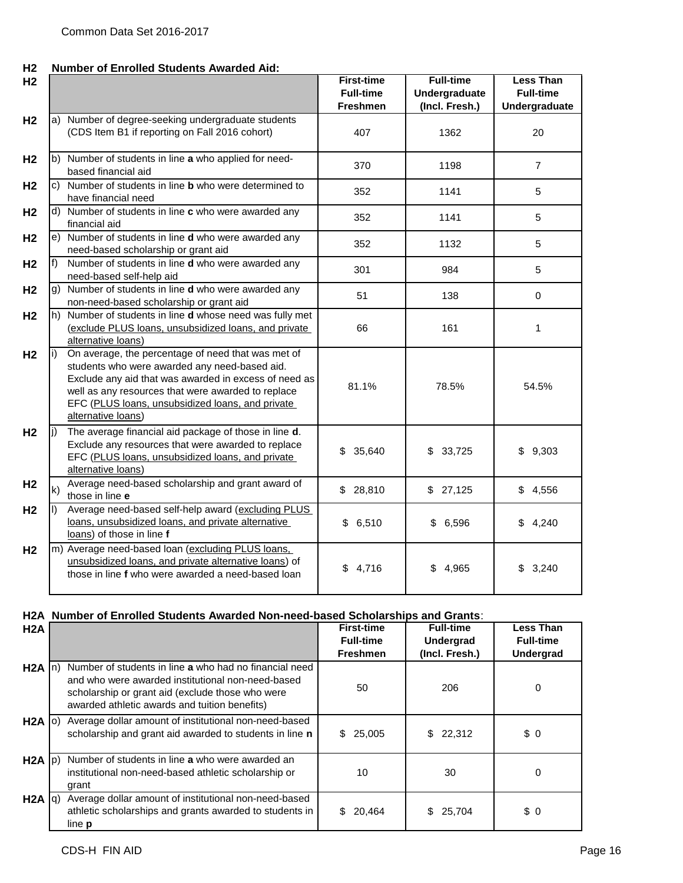#### **H2 Number of Enrolled Students Awarded Aid:**

| H <sub>2</sub> |              |                                                                                                                                                                                                                                                                                              | <b>First-time</b><br><b>Full-time</b><br><b>Freshmen</b> | <b>Full-time</b><br>Undergraduate<br>(Incl. Fresh.) | <b>Less Than</b><br><b>Full-time</b><br><b>Undergraduate</b> |
|----------------|--------------|----------------------------------------------------------------------------------------------------------------------------------------------------------------------------------------------------------------------------------------------------------------------------------------------|----------------------------------------------------------|-----------------------------------------------------|--------------------------------------------------------------|
| H <sub>2</sub> |              | a) Number of degree-seeking undergraduate students<br>(CDS Item B1 if reporting on Fall 2016 cohort)                                                                                                                                                                                         | 407                                                      | 1362                                                | 20                                                           |
| H <sub>2</sub> |              | b) Number of students in line a who applied for need-<br>based financial aid                                                                                                                                                                                                                 | 370                                                      | 1198                                                | $\overline{7}$                                               |
| H <sub>2</sub> |              | c) Number of students in line <b>b</b> who were determined to<br>have financial need                                                                                                                                                                                                         | 352                                                      | 1141                                                | 5                                                            |
| H <sub>2</sub> |              | d) Number of students in line c who were awarded any<br>financial aid                                                                                                                                                                                                                        | 352                                                      | 1141                                                | 5                                                            |
| H <sub>2</sub> |              | e) Number of students in line <b>d</b> who were awarded any<br>need-based scholarship or grant aid                                                                                                                                                                                           | 352                                                      | 1132                                                | 5                                                            |
| H <sub>2</sub> | f)           | Number of students in line d who were awarded any<br>need-based self-help aid                                                                                                                                                                                                                | 301                                                      | 984                                                 | 5                                                            |
| H <sub>2</sub> | g)           | Number of students in line d who were awarded any<br>non-need-based scholarship or grant aid                                                                                                                                                                                                 | 51                                                       | 138                                                 | $\mathbf 0$                                                  |
| H <sub>2</sub> |              | h) Number of students in line <b>d</b> whose need was fully met<br>(exclude PLUS loans, unsubsidized loans, and private<br>alternative loans)                                                                                                                                                | 66                                                       | 161                                                 | 1                                                            |
| H <sub>2</sub> | i)           | On average, the percentage of need that was met of<br>students who were awarded any need-based aid.<br>Exclude any aid that was awarded in excess of need as<br>well as any resources that were awarded to replace<br>EFC (PLUS loans, unsubsidized loans, and private<br>alternative loans) | 81.1%                                                    | 78.5%                                               | 54.5%                                                        |
| H <sub>2</sub> | $\mathbf{I}$ | The average financial aid package of those in line d.<br>Exclude any resources that were awarded to replace<br>EFC (PLUS loans, unsubsidized loans, and private<br>alternative loans)                                                                                                        | \$<br>35,640                                             | \$<br>33,725                                        | \$<br>9,303                                                  |
| H <sub>2</sub> | k)           | Average need-based scholarship and grant award of<br>those in line e                                                                                                                                                                                                                         | \$28,810                                                 | \$27,125                                            | \$4,556                                                      |
| H <sub>2</sub> | $\mathsf{I}$ | Average need-based self-help award (excluding PLUS<br>loans, unsubsidized loans, and private alternative<br>loans) of those in line f                                                                                                                                                        | \$6,510                                                  | \$<br>6,596                                         | \$4,240                                                      |
| H <sub>2</sub> |              | m) Average need-based loan (excluding PLUS loans,<br>unsubsidized loans, and private alternative loans) of<br>those in line f who were awarded a need-based loan                                                                                                                             | \$4,716                                                  | \$<br>4,965                                         | 3,240<br>\$.                                                 |

## **H2A Number of Enrolled Students Awarded Non-need-based Scholarships and Grants**:

| H2A               |                                                                                                                                                                                                                  | <b>First-time</b><br><b>Full-time</b> | <b>Full-time</b><br><b>Undergrad</b> | Less Than<br><b>Full-time</b> |
|-------------------|------------------------------------------------------------------------------------------------------------------------------------------------------------------------------------------------------------------|---------------------------------------|--------------------------------------|-------------------------------|
|                   |                                                                                                                                                                                                                  | <b>Freshmen</b>                       | (Incl. Fresh.)                       | <b>Undergrad</b>              |
| $H2A$ $ n\rangle$ | Number of students in line a who had no financial need<br>and who were awarded institutional non-need-based<br>scholarship or grant aid (exclude those who were<br>awarded athletic awards and tuition benefits) | 50                                    | 206                                  | 0                             |
| $H2A$ (0)         | Average dollar amount of institutional non-need-based<br>scholarship and grant aid awarded to students in line n                                                                                                 | 25,005<br>S.                          | \$22,312                             | \$0                           |
| $H2A$ $ p\rangle$ | Number of students in line a who were awarded an<br>institutional non-need-based athletic scholarship or<br>grant                                                                                                | 10                                    | 30                                   | 0                             |
| H2A  q            | Average dollar amount of institutional non-need-based<br>athletic scholarships and grants awarded to students in<br>line <b>p</b>                                                                                | 20,464<br>S.                          | \$25,704                             | \$0                           |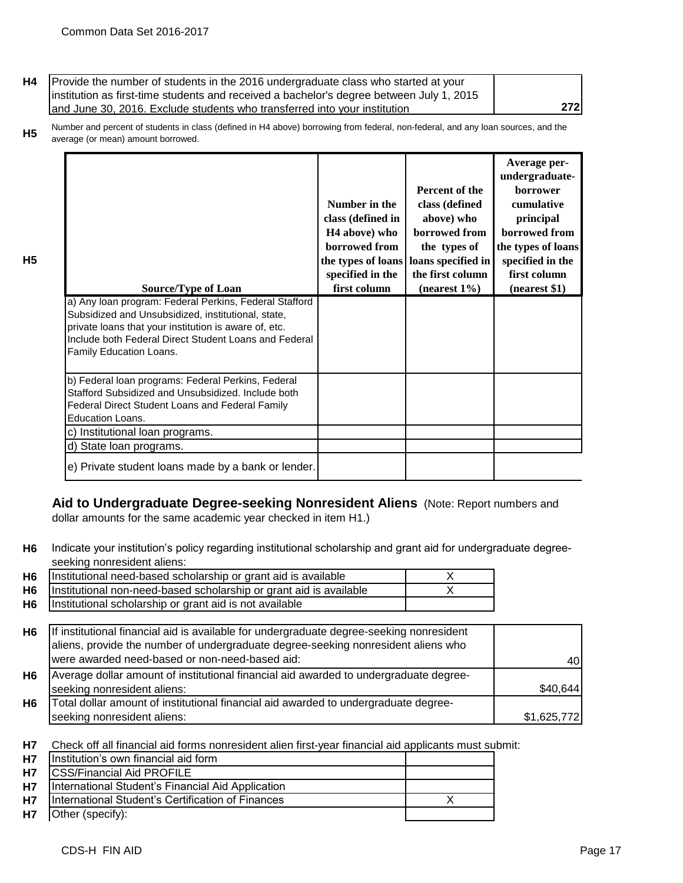**H5**

| H4   Provide the number of students in the 2016 undergraduate class who started at your   |     |
|-------------------------------------------------------------------------------------------|-----|
| linstitution as first-time students and received a bachelor's degree between July 1, 2015 |     |
| and June 30, 2016. Exclude students who transferred into your institution                 | 272 |

**H5** Number and percent of students in class (defined in H4 above) borrowing from federal, non-federal, and any loan sources, and the average (or mean) amount borrowed.

| <b>Source/Type of Loan</b><br>a) Any Ioan program: Federal Perkins, Federal Stafford<br>Subsidized and Unsubsidized, institutional, state,<br>private loans that your institution is aware of, etc.<br>Include both Federal Direct Student Loans and Federal<br>Family Education Loans. | Number in the<br>class (defined in<br>H <sub>4</sub> above) who<br>borrowed from<br>the types of loans<br>specified in the<br>first column | Percent of the<br>class (defined<br>above) who<br>borrowed from<br>the types of<br>loans specified in<br>the first column<br>$(nearest 1\%)$ | Average per-<br>undergraduate-<br><b>borrower</b><br>cumulative<br>principal<br>borrowed from<br>the types of loans<br>specified in the<br>first column<br>(nearest \$1) |
|-----------------------------------------------------------------------------------------------------------------------------------------------------------------------------------------------------------------------------------------------------------------------------------------|--------------------------------------------------------------------------------------------------------------------------------------------|----------------------------------------------------------------------------------------------------------------------------------------------|--------------------------------------------------------------------------------------------------------------------------------------------------------------------------|
| b) Federal loan programs: Federal Perkins, Federal<br>Stafford Subsidized and Unsubsidized. Include both<br>Federal Direct Student Loans and Federal Family<br>Education Loans.                                                                                                         |                                                                                                                                            |                                                                                                                                              |                                                                                                                                                                          |
| c) Institutional loan programs.                                                                                                                                                                                                                                                         |                                                                                                                                            |                                                                                                                                              |                                                                                                                                                                          |
| d) State loan programs.                                                                                                                                                                                                                                                                 |                                                                                                                                            |                                                                                                                                              |                                                                                                                                                                          |
| e) Private student loans made by a bank or lender.                                                                                                                                                                                                                                      |                                                                                                                                            |                                                                                                                                              |                                                                                                                                                                          |

# **Aid to Undergraduate Degree-seeking Nonresident Aliens** (Note: Report numbers and

dollar amounts for the same academic year checked in item H1.)

**H6** Indicate your institution's policy regarding institutional scholarship and grant aid for undergraduate degreeseeking nonresident aliens:

| H <sub>6</sub> | Institutional need-based scholarship or grant aid is available                           |             |
|----------------|------------------------------------------------------------------------------------------|-------------|
| H <sub>6</sub> | Institutional non-need-based scholarship or grant aid is available                       |             |
| H <sub>6</sub> | Institutional scholarship or grant aid is not available                                  |             |
|                |                                                                                          |             |
| H <sub>6</sub> | If institutional financial aid is available for undergraduate degree-seeking nonresident |             |
|                | aliens, provide the number of undergraduate degree-seeking nonresident aliens who        |             |
|                | were awarded need-based or non-need-based aid:                                           | 40          |
| H <sub>6</sub> | Average dollar amount of institutional financial aid awarded to undergraduate degree-    |             |
|                | seeking nonresident aliens:                                                              | \$40,644    |
| <b>H6</b>      | Total dollar amount of institutional financial aid awarded to undergraduate degree-      |             |
|                | seeking nonresident aliens:                                                              | \$1,625,772 |
|                |                                                                                          |             |

**H7** Check off all financial aid forms nonresident alien first-year financial aid applicants must submit:

| <b>H7</b> | Institution's own financial aid form              |  |
|-----------|---------------------------------------------------|--|
| <b>H7</b> | <b>ICSS/Financial Aid PROFILE</b>                 |  |
| <b>H7</b> | International Student's Financial Aid Application |  |
| <b>H7</b> | International Student's Certification of Finances |  |
| H7        | Other (specify):                                  |  |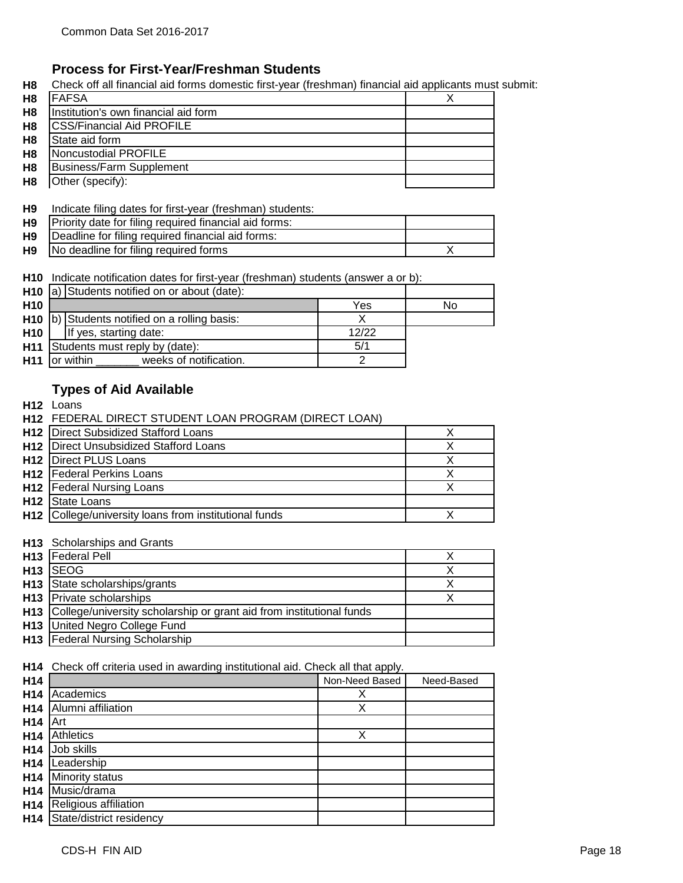## **Process for First-Year/Freshman Students**

**H8** Check off all financial aid forms domestic first-year (freshman) financial aid applicants must submit:

| H <sub>8</sub> | <b>FAFSA</b>                         |  |
|----------------|--------------------------------------|--|
| H <sub>8</sub> | Institution's own financial aid form |  |
| H <sub>8</sub> | <b>CSS/Financial Aid PROFILE</b>     |  |
| H <sub>8</sub> | State aid form                       |  |
| H <sub>8</sub> | Noncustodial PROFILE                 |  |
| H <sub>8</sub> | <b>Business/Farm Supplement</b>      |  |
| H <sub>8</sub> | Other (specify):                     |  |

#### **H9** Indicate filing dates for first-year (freshman) students:

| H <sub>9</sub> | Priority date for filing required financial aid forms: |  |
|----------------|--------------------------------------------------------|--|
| H9             | Deadline for filing required financial aid forms:      |  |
|                | H9   No deadline for filing required forms             |  |

**H10** Indicate notification dates for first-year (freshman) students (answer a or b):

|            | <b>H10</b> $ a $ Students notified on or about (date): |       |    |
|------------|--------------------------------------------------------|-------|----|
| <b>H10</b> |                                                        | Yes   | No |
|            | $H10$ b) Students notified on a rolling basis:         |       |    |
| <b>H10</b> | If yes, starting date:                                 | 12/22 |    |
|            | <b>H11</b> Students must reply by (date):              |       |    |
|            | <b>H11</b> for within<br>weeks of notification.        |       |    |

## **Types of Aid Available**

**H12** Loans

| H12 FEDERAL DIRECT STUDENT LOAN PROGRAM (DIRECT LOAN)             |  |
|-------------------------------------------------------------------|--|
| <b>H12</b> Direct Subsidized Stafford Loans                       |  |
| <b>H12</b> Direct Unsubsidized Stafford Loans                     |  |
| <b>H12 Direct PLUS Loans</b>                                      |  |
| <b>H12</b> Federal Perkins Loans                                  |  |
| <b>H12</b>   Federal Nursing Loans                                |  |
| <b>H12</b> State Loans                                            |  |
| H <sub>12</sub> College/university loans from institutional funds |  |

#### **H13** Scholarships and Grants

| H13   Federal Pell                                                       |  |
|--------------------------------------------------------------------------|--|
| H <sub>13</sub> SEOG                                                     |  |
| H <sub>13</sub> State scholarships/grants                                |  |
| <b>H13</b> Private scholarships                                          |  |
| H13 College/university scholarship or grant aid from institutional funds |  |
| H13 United Negro College Fund                                            |  |
| H13 Federal Nursing Scholarship                                          |  |

**H14** Check off criteria used in awarding institutional aid. Check all that apply.

| H14             |                          | Non-Need Based | Need-Based |
|-----------------|--------------------------|----------------|------------|
| H <sub>14</sub> | Academics                | х              |            |
| H <sub>14</sub> | Alumni affiliation       | Χ              |            |
| H14             | Art                      |                |            |
| H <sub>14</sub> | <b>Athletics</b>         | Χ              |            |
| H14             | Job skills               |                |            |
| H14             | Leadership               |                |            |
| H <sub>14</sub> | Minority status          |                |            |
| H14             | Music/drama              |                |            |
| H <sub>14</sub> | Religious affiliation    |                |            |
| H14             | State/district residency |                |            |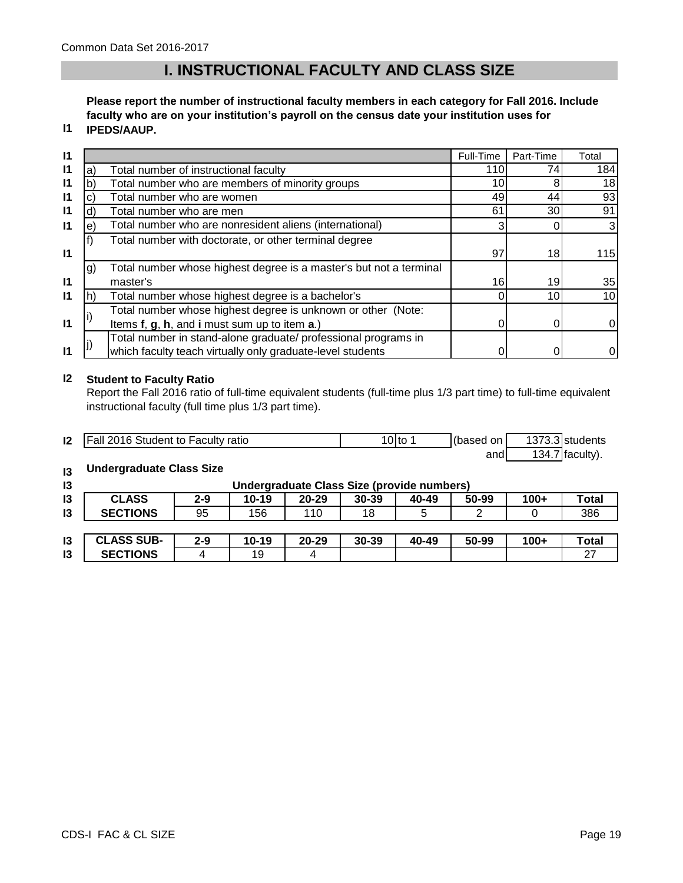# **I. INSTRUCTIONAL FACULTY AND CLASS SIZE**

**Please report the number of instructional faculty members in each category for Fall 2016. Include faculty who are on your institution's payroll on the census date your institution uses for IPEDS/AAUP.**

## **I1**

| $\mathsf{I}$ |    |                                                                    | Full-Time | Part-Time       | Total |
|--------------|----|--------------------------------------------------------------------|-----------|-----------------|-------|
| $\mathsf{I}$ | a) | Total number of instructional faculty                              | 110       | 74              | 184   |
| $\mathsf{I}$ |    | Total number who are members of minority groups                    | 10        | 8               | 18    |
| $\mathsf{I}$ | C) | Total number who are women                                         | 49        | 44              | 93    |
| $\mathsf{I}$ | d) | Total number who are men                                           | 61        | 30              | 91    |
| $\mathsf{I}$ | e) | Total number who are nonresident aliens (international)            |           |                 |       |
|              |    | Total number with doctorate, or other terminal degree              |           |                 |       |
| $\mathbf{I}$ |    |                                                                    | 97        | 18              | 115   |
|              | g) | Total number whose highest degree is a master's but not a terminal |           |                 |       |
| $\mathbf{I}$ |    | master's                                                           | 16        | 19              | 35    |
| $\mathsf{I}$ |    | Total number whose highest degree is a bachelor's                  |           | 10 <sup>1</sup> | 10    |
|              |    | Total number whose highest degree is unknown or other (Note:       |           |                 |       |
| $\mathsf{I}$ |    | Items f, g, h, and i must sum up to item a.)                       |           |                 | 0     |
|              |    | Total number in stand-alone graduate/ professional programs in     |           |                 |       |
| $\mathsf{I}$ |    | which faculty teach virtually only graduate-level students         |           |                 |       |

#### **I2 Student to Faculty Ratio**

Report the Fall 2016 ratio of full-time equivalent students (full-time plus 1/3 part time) to full-time equivalent instructional faculty (full time plus 1/3 part time).

| 12 | <b>Fall 2016 Student to Faculty ratio</b> | !0Ito | (based on | 1373.3 students   |
|----|-------------------------------------------|-------|-----------|-------------------|
|    |                                           |       | and       | $134.7$ faculty). |

#### **I3 Undergraduate Class Size**

| 13 | Undergraduate Class Size (provide numbers) |         |           |           |           |       |       |        |       |
|----|--------------------------------------------|---------|-----------|-----------|-----------|-------|-------|--------|-------|
| 13 | <b>CLASS</b>                               | $2 - 9$ | $10 - 19$ | $20 - 29$ | $30 - 39$ | 40-49 | 50-99 | $100+$ | Total |
| 13 | <b>SECTIONS</b>                            | 95      | 156       | 110       | 18        |       |       |        | 386   |
|    |                                            |         |           |           |           |       |       |        |       |

| ın<br>IJ | <b>JLASS SUB-</b> | 2-9 | 10-19 | 20-29 | 30-39 | 40-49 | 50-99 | $100+$ | <b>Total</b> |
|----------|-------------------|-----|-------|-------|-------|-------|-------|--------|--------------|
| ı0<br>טו | <b>SECTIONS</b>   |     | l9    |       |       |       |       |        |              |